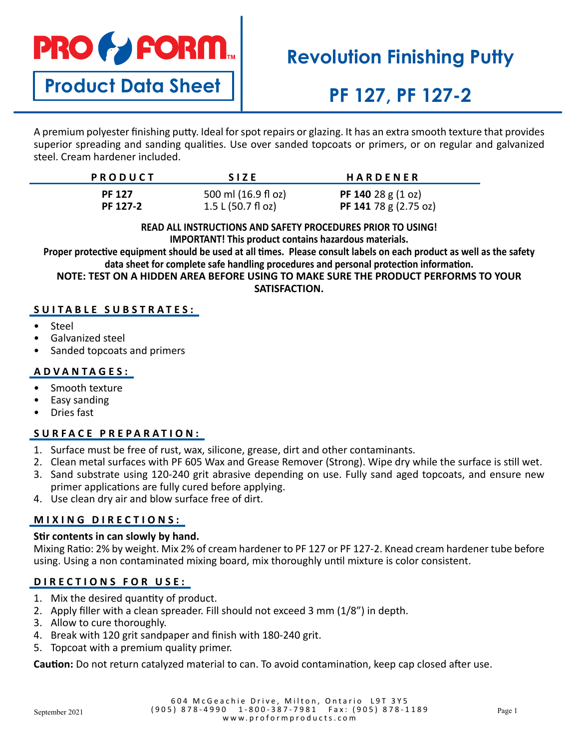# **PRO & FORM**

**Product Data Sheet**

# **Revolution Finishing Putty**

# **PF 127, PF 127-2**

A premium polyester finishing putty. Ideal for spot repairs or glazing. It has an extra smooth texture that provides superior spreading and sanding qualities. Use over sanded topcoats or primers, or on regular and galvanized steel. Cream hardener included.

| <b>PRODUCT</b> | <b>SIZE</b>                      | <b>HARDENER</b>                     |
|----------------|----------------------------------|-------------------------------------|
| <b>PF 127</b>  | 500 ml (16.9 fl oz)              | <b>PF 140</b> 28 g $(1 \text{ oz})$ |
| PF 127-2       | $1.5 L (50.7 f \cdot \text{Oz})$ | PF 141 78 g $(2.75 \text{ oz})$     |

#### **READ ALL INSTRUCTIONS AND SAFETY PROCEDURES PRIOR TO USING! IMPORTANT! This product contains hazardous materials.**

**Proper protective equipment should be used at all times. Please consult labels on each product as well as the safety data sheet for complete safe handling procedures and personal protection information.**

**NOTE: TEST ON A HIDDEN AREA BEFORE USING TO MAKE SURE THE PRODUCT PERFORMS TO YOUR SATISFACTION.**

### **SUITABLE SUBSTRATES:**

- Steel
- Galvanized steel
- Sanded topcoats and primers

### **ADVANTAGES:**

- Smooth texture
- Easy sanding
- Dries fast

# **SURFACE PREPARATION:**

- 1. Surface must be free of rust, wax, silicone, grease, dirt and other contaminants.
- 2. Clean metal surfaces with PF 605 Wax and Grease Remover (Strong). Wipe dry while the surface is still wet.
- 3. Sand substrate using 120-240 grit abrasive depending on use. Fully sand aged topcoats, and ensure new primer applications are fully cured before applying.
- 4. Use clean dry air and blow surface free of dirt.

# **MIXING DIRECTIONS:**

### **Stir contents in can slowly by hand.**

Mixing Ratio: 2% by weight. Mix 2% of cream hardener to PF 127 or PF 127-2. Knead cream hardener tube before using. Using a non contaminated mixing board, mix thoroughly until mixture is color consistent.

# **DIRECTIONS FOR USE:**

- 1. Mix the desired quantity of product.
- 2. Apply filler with a clean spreader. Fill should not exceed 3 mm (1/8") in depth.
- 3. Allow to cure thoroughly.
- 4. Break with 120 grit sandpaper and finish with 180-240 grit.
- 5. Topcoat with a premium quality primer.

**Caution:** Do not return catalyzed material to can. To avoid contamination, keep cap closed after use.